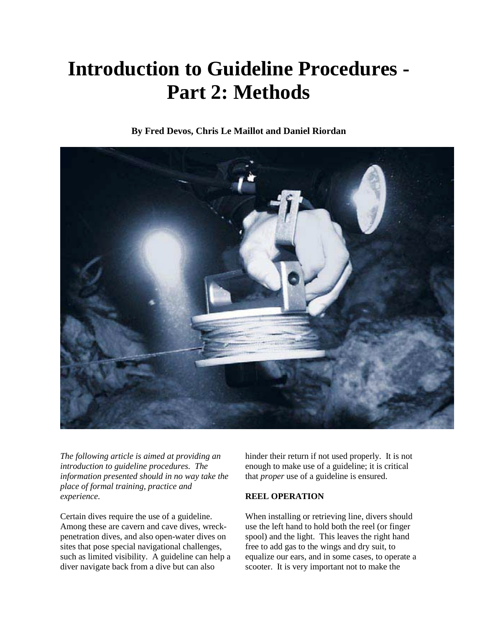# **Introduction to Guideline Procedures - Part 2: Methods**

**By Fred Devos, Chris Le Maillot and Daniel Riordan** 



*The following article is aimed at providing an introduction to guideline procedures. The information presented should in no way take the place of formal training, practice and experience.* 

Certain dives require the use of a guideline. Among these are cavern and cave dives, wreckpenetration dives, and also open-water dives on sites that pose special navigational challenges, such as limited visibility. A guideline can help a diver navigate back from a dive but can also

hinder their return if not used properly. It is not enough to make use of a guideline; it is critical that *proper* use of a guideline is ensured.

# **REEL OPERATION**

When installing or retrieving line, divers should use the left hand to hold both the reel (or finger spool) and the light. This leaves the right hand free to add gas to the wings and dry suit, to equalize our ears, and in some cases, to operate a scooter. It is very important not to make the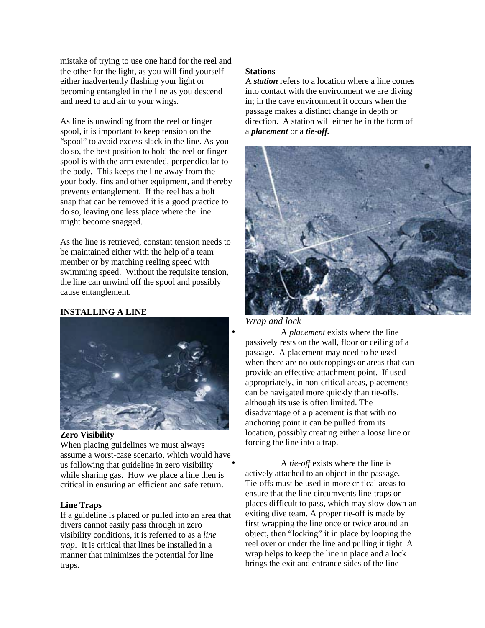mistake of trying to use one hand for the reel and the other for the light, as you will find yourself either inadvertently flashing your light or becoming entangled in the line as you descend and need to add air to your wings.

As line is unwinding from the reel or finger spool, it is important to keep tension on the "spool" to avoid excess slack in the line. As you do so, the best position to hold the reel or finger spool is with the arm extended, perpendicular to the body. This keeps the line away from the your body, fins and other equipment, and thereby prevents entanglement. If the reel has a bolt snap that can be removed it is a good practice to do so, leaving one less place where the line might become snagged.

As the line is retrieved, constant tension needs to be maintained either with the help of a team member or by matching reeling speed with swimming speed. Without the requisite tension, the line can unwind off the spool and possibly cause entanglement.

# **INSTALLING A LINE**



## **Zero Visibility**

When placing guidelines we must always assume a worst-case scenario, which would have us following that guideline in zero visibility while sharing gas. How we place a line then is critical in ensuring an efficient and safe return.

#### **Line Traps**

If a guideline is placed or pulled into an area that divers cannot easily pass through in zero visibility conditions, it is referred to as a *line trap*. It is critical that lines be installed in a manner that minimizes the potential for line traps.

#### **Stations**

A *station* refers to a location where a line comes into contact with the environment we are diving in; in the cave environment it occurs when the passage makes a distinct change in depth or direction. A station will either be in the form of a *placement* or a *tie-off.*



#### *Wrap and lock*

• A *placement* exists where the line passively rests on the wall, floor or ceiling of a passage. A placement may need to be used when there are no outcroppings or areas that can provide an effective attachment point. If used appropriately, in non-critical areas, placements can be navigated more quickly than tie-offs, although its use is often limited. The disadvantage of a placement is that with no anchoring point it can be pulled from its location, possibly creating either a loose line or forcing the line into a trap.

• A *tie-off* exists where the line is actively attached to an object in the passage. Tie-offs must be used in more critical areas to ensure that the line circumvents line-traps or places difficult to pass, which may slow down an exiting dive team. A proper tie-off is made by first wrapping the line once or twice around an object, then "locking" it in place by looping the reel over or under the line and pulling it tight. A wrap helps to keep the line in place and a lock brings the exit and entrance sides of the line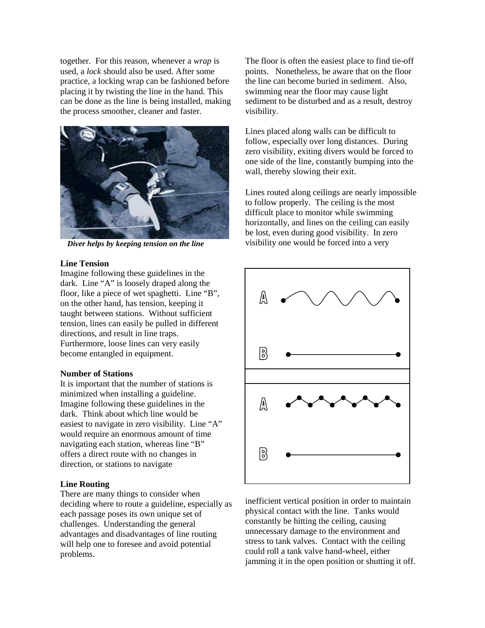together. For this reason, whenever a *wrap* is used, a *lock* should also be used. After some practice, a locking wrap can be fashioned before placing it by twisting the line in the hand. This can be done as the line is being installed, making the process smoother, cleaner and faster.



*Diver helps by keeping tension on the line*

## **Line Tension**

Imagine following these guidelines in the dark. Line "A" is loosely draped along the floor, like a piece of wet spaghetti. Line "B", on the other hand, has tension, keeping it taught between stations. Without sufficient tension, lines can easily be pulled in different directions, and result in line traps. Furthermore, loose lines can very easily become entangled in equipment.

# **Number of Stations**

It is important that the number of stations is minimized when installing a guideline. Imagine following these guidelines in the dark. Think about which line would be easiest to navigate in zero visibility. Line "A" would require an enormous amount of time navigating each station, whereas line "B" offers a direct route with no changes in direction, or stations to navigate

# **Line Routing**

There are many things to consider when deciding where to route a guideline, especially as each passage poses its own unique set of challenges. Understanding the general advantages and disadvantages of line routing will help one to foresee and avoid potential problems.

The floor is often the easiest place to find tie-off points. Nonetheless, be aware that on the floor the line can become buried in sediment. Also, swimming near the floor may cause light sediment to be disturbed and as a result, destroy visibility.

Lines placed along walls can be difficult to follow, especially over long distances. During zero visibility, exiting divers would be forced to one side of the line, constantly bumping into the wall, thereby slowing their exit.

Lines routed along ceilings are nearly impossible to follow properly. The ceiling is the most difficult place to monitor while swimming horizontally, and lines on the ceiling can easily be lost, even during good visibility. In zero visibility one would be forced into a very



inefficient vertical position in order to maintain physical contact with the line. Tanks would constantly be hitting the ceiling, causing unnecessary damage to the environment and stress to tank valves. Contact with the ceiling could roll a tank valve hand-wheel, either jamming it in the open position or shutting it off.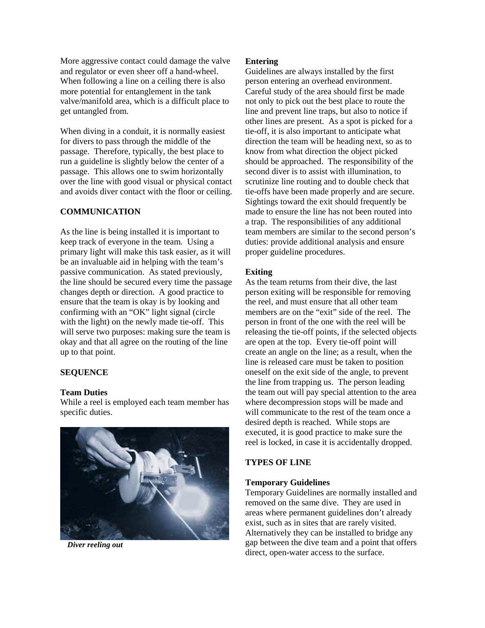More aggressive contact could damage the valve and regulator or even sheer off a hand-wheel. When following a line on a ceiling there is also more potential for entanglement in the tank valve/manifold area, which is a difficult place to get untangled from.

When diving in a conduit, it is normally easiest for divers to pass through the middle of the passage. Therefore, typically, the best place to run a guideline is slightly below the center of a passage. This allows one to swim horizontally over the line with good visual or physical contact and avoids diver contact with the floor or ceiling.

## **COMMUNICATION**

As the line is being installed it is important to keep track of everyone in the team. Using a primary light will make this task easier, as it will be an invaluable aid in helping with the team's passive communication. As stated previously, the line should be secured every time the passage changes depth or direction. A good practice to ensure that the team is okay is by looking and confirming with an "OK" light signal (circle with the light) on the newly made tie-off. This will serve two purposes: making sure the team is okay and that all agree on the routing of the line up to that point.

## **SEQUENCE**

## **Team Duties**

While a reel is employed each team member has specific duties.



*Diver reeling out*

## **Entering**

Guidelines are always installed by the first person entering an overhead environment. Careful study of the area should first be made not only to pick out the best place to route the line and prevent line traps, but also to notice if other lines are present. As a spot is picked for a tie-off, it is also important to anticipate what direction the team will be heading next, so as to know from what direction the object picked should be approached. The responsibility of the second diver is to assist with illumination, to scrutinize line routing and to double check that tie-offs have been made properly and are secure. Sightings toward the exit should frequently be made to ensure the line has not been routed into a trap. The responsibilities of any additional team members are similar to the second person's duties: provide additional analysis and ensure proper guideline procedures.

#### **Exiting**

As the team returns from their dive, the last person exiting will be responsible for removing the reel, and must ensure that all other team members are on the "exit" side of the reel. The person in front of the one with the reel will be releasing the tie-off points, if the selected objects are open at the top. Every tie-off point will create an angle on the line; as a result, when the line is released care must be taken to position oneself on the exit side of the angle, to prevent the line from trapping us. The person leading the team out will pay special attention to the area where decompression stops will be made and will communicate to the rest of the team once a desired depth is reached. While stops are executed, it is good practice to make sure the reel is locked, in case it is accidentally dropped.

## **TYPES OF LINE**

#### **Temporary Guidelines**

Temporary Guidelines are normally installed and removed on the same dive. They are used in areas where permanent guidelines don't already exist, such as in sites that are rarely visited. Alternatively they can be installed to bridge any gap between the dive team and a point that offers direct, open-water access to the surface.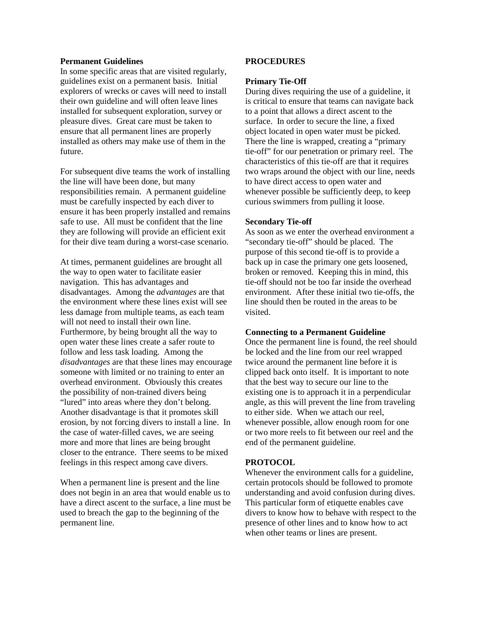## **Permanent Guidelines**

In some specific areas that are visited regularly, guidelines exist on a permanent basis. Initial explorers of wrecks or caves will need to install their own guideline and will often leave lines installed for subsequent exploration, survey or pleasure dives. Great care must be taken to ensure that all permanent lines are properly installed as others may make use of them in the future.

For subsequent dive teams the work of installing the line will have been done, but many responsibilities remain. A permanent guideline must be carefully inspected by each diver to ensure it has been properly installed and remains safe to use. All must be confident that the line they are following will provide an efficient exit for their dive team during a worst-case scenario.

At times, permanent guidelines are brought all the way to open water to facilitate easier navigation. This has advantages and disadvantages. Among the *advantages* are that the environment where these lines exist will see less damage from multiple teams, as each team will not need to install their own line. Furthermore, by being brought all the way to open water these lines create a safer route to follow and less task loading. Among the *disadvantages* are that these lines may encourage someone with limited or no training to enter an overhead environment. Obviously this creates the possibility of non-trained divers being "lured" into areas where they don't belong. Another disadvantage is that it promotes skill erosion, by not forcing divers to install a line. In the case of water-filled caves, we are seeing more and more that lines are being brought closer to the entrance. There seems to be mixed feelings in this respect among cave divers.

When a permanent line is present and the line does not begin in an area that would enable us to have a direct ascent to the surface, a line must be used to breach the gap to the beginning of the permanent line.

## **PROCEDURES**

#### **Primary Tie-Off**

During dives requiring the use of a guideline, it is critical to ensure that teams can navigate back to a point that allows a direct ascent to the surface. In order to secure the line, a fixed object located in open water must be picked. There the line is wrapped, creating a "primary tie-off" for our penetration or primary reel. The characteristics of this tie-off are that it requires two wraps around the object with our line, needs to have direct access to open water and whenever possible be sufficiently deep, to keep curious swimmers from pulling it loose.

#### **Secondary Tie-off**

As soon as we enter the overhead environment a "secondary tie-off" should be placed. The purpose of this second tie-off is to provide a back up in case the primary one gets loosened, broken or removed. Keeping this in mind, this tie-off should not be too far inside the overhead environment. After these initial two tie-offs, the line should then be routed in the areas to be visited.

#### **Connecting to a Permanent Guideline**

Once the permanent line is found, the reel should be locked and the line from our reel wrapped twice around the permanent line before it is clipped back onto itself. It is important to note that the best way to secure our line to the existing one is to approach it in a perpendicular angle, as this will prevent the line from traveling to either side. When we attach our reel, whenever possible, allow enough room for one or two more reels to fit between our reel and the end of the permanent guideline.

#### **PROTOCOL**

Whenever the environment calls for a guideline, certain protocols should be followed to promote understanding and avoid confusion during dives. This particular form of etiquette enables cave divers to know how to behave with respect to the presence of other lines and to know how to act when other teams or lines are present.